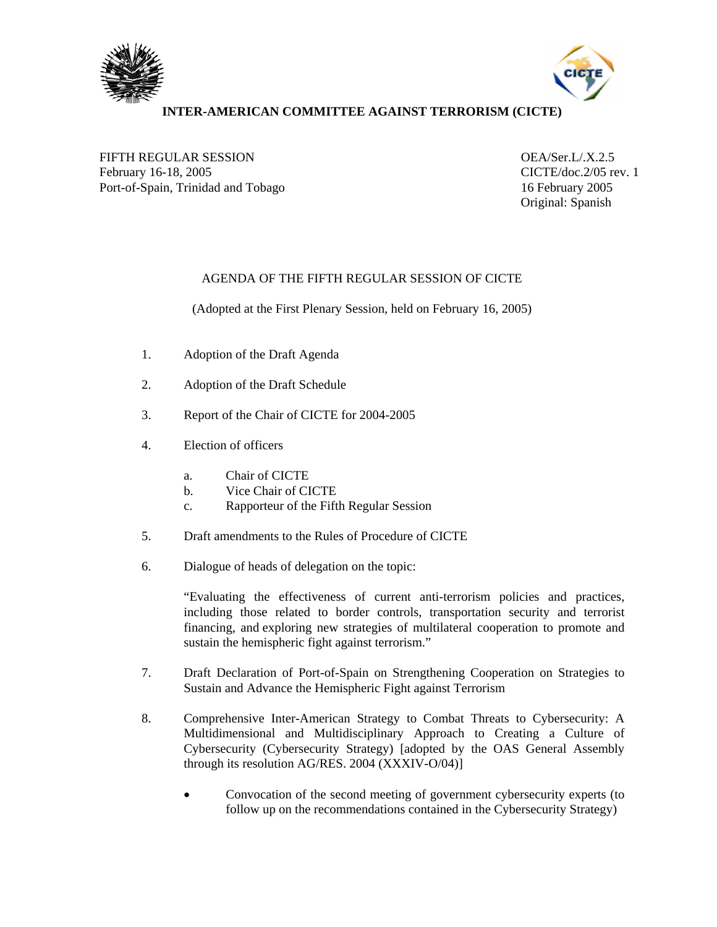



## **INTER-AMERICAN COMMITTEE AGAINST TERRORISM (CICTE)**

FIFTH REGULAR SESSION OEA/Ser.L/.X.2.5 February 16-18, 2005 CICTE/doc.2/05 rev. 1 Port-of-Spain, Trinidad and Tobago 16 February 2005

Original: Spanish

## AGENDA OF THE FIFTH REGULAR SESSION OF CICTE

(Adopted at the First Plenary Session, held on February 16, 2005)

- 1. Adoption of the Draft Agenda
- 2. Adoption of the Draft Schedule
- 3. Report of the Chair of CICTE for 2004-2005
- 4. Election of officers
	- a. Chair of CICTE
	- b. Vice Chair of CICTE
	- c. Rapporteur of the Fifth Regular Session
- 5. Draft amendments to the Rules of Procedure of CICTE
- 6. Dialogue of heads of delegation on the topic:

"Evaluating the effectiveness of current anti-terrorism policies and practices, including those related to border controls, transportation security and terrorist financing, and exploring new strategies of multilateral cooperation to promote and sustain the hemispheric fight against terrorism."

- 7. Draft Declaration of Port-of-Spain on Strengthening Cooperation on Strategies to Sustain and Advance the Hemispheric Fight against Terrorism
- 8. Comprehensive Inter-American Strategy to Combat Threats to Cybersecurity: A Multidimensional and Multidisciplinary Approach to Creating a Culture of Cybersecurity (Cybersecurity Strategy) [adopted by the OAS General Assembly through its resolution AG/RES. 2004 (XXXIV-O/04)]
	- Convocation of the second meeting of government cybersecurity experts (to follow up on the recommendations contained in the Cybersecurity Strategy)